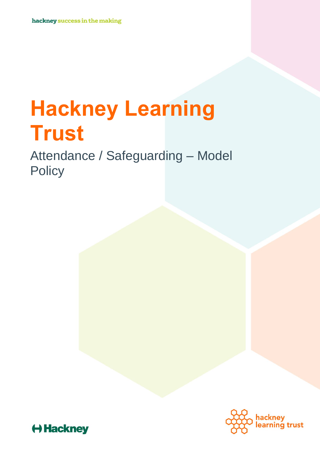# **Hackney Learning Trust**

Attendance / Safeguarding – Model **Policy** 



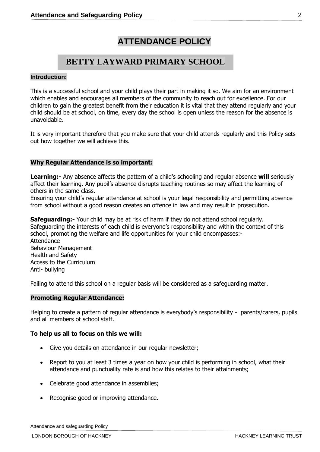## **ATTENDANCE POLICY**

## **BETTY LAYWARD PRIMARY SCHOOL**

#### **Introduction:**

This is a successful school and your child plays their part in making it so. We aim for an environment which enables and encourages all members of the community to reach out for excellence. For our children to gain the greatest benefit from their education it is vital that they attend regularly and your child should be at school, on time, every day the school is open unless the reason for the absence is unavoidable.

It is very important therefore that you make sure that your child attends regularly and this Policy sets out how together we will achieve this.

#### **Why Regular Attendance is so important:**

**Learning:-** Any absence affects the pattern of a child's schooling and regular absence **will** seriously affect their learning. Any pupil's absence disrupts teaching routines so may affect the learning of others in the same class.

Ensuring your child's regular attendance at school is your legal responsibility and permitting absence from school without a good reason creates an offence in law and may result in prosecution.

**Safeguarding:-** Your child may be at risk of harm if they do not attend school regularly. Safeguarding the interests of each child is everyone's responsibility and within the context of this school, promoting the welfare and life opportunities for your child encompasses:- **Attendance** Behaviour Management Health and Safety Access to the Curriculum Anti- bullying

Failing to attend this school on a regular basis will be considered as a safeguarding matter.

#### **Promoting Regular Attendance:**

Helping to create a pattern of regular attendance is everybody's responsibility - parents/carers, pupils and all members of school staff.

#### **To help us all to focus on this we will:**

- Give you details on attendance in our regular newsletter;
- Report to you at least 3 times a year on how your child is performing in school, what their attendance and punctuality rate is and how this relates to their attainments;
- Celebrate good attendance in assemblies;
- Recognise good or improving attendance.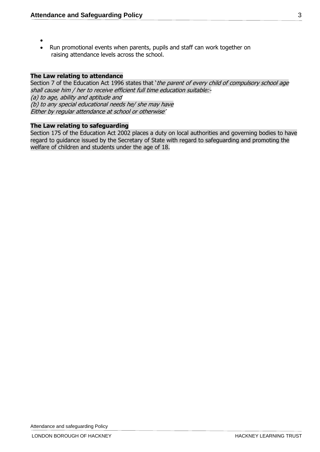- $\bullet$
- Run promotional events when parents, pupils and staff can work together on raising attendance levels across the school.

#### **The Law relating to attendance**

Section 7 of the Education Act 1996 states that 'the parent of every child of compulsory school age shall cause him / her to receive efficient full time education suitable:- (a) to age, ability and aptitude and (b) to any special educational needs he/ she may have Either by regular attendance at school or otherwise'

#### **The Law relating to safeguarding**

Section 175 of the Education Act 2002 places a duty on local authorities and governing bodies to have regard to guidance issued by the Secretary of State with regard to safeguarding and promoting the welfare of children and students under the age of 18.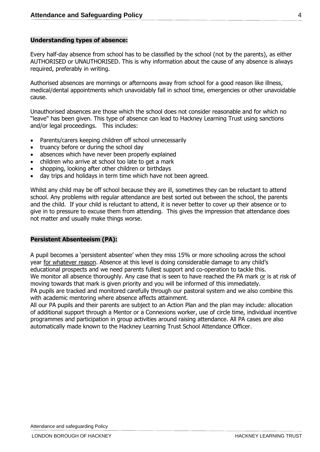#### **Understanding types of absence:**

Every half-day absence from school has to be classified by the school (not by the parents), as either AUTHORISED or UNAUTHORISED. This is why information about the cause of any absence is always required, preferably in writing.

Authorised absences are mornings or afternoons away from school for a good reason like illness, medical/dental appointments which unavoidably fall in school time, emergencies or other unavoidable cause.

Unauthorised absences are those which the school does not consider reasonable and for which no "leave" has been given. This type of absence can lead to Hackney Learning Trust using sanctions and/or legal proceedings. This includes:

- Parents/carers keeping children off school unnecessarily
- truancy before or during the school day
- absences which have never been properly explained
- children who arrive at school too late to get a mark
- shopping, looking after other children or birthdays
- day trips and holidays in term time which have not been agreed.

Whilst any child may be off school because they are ill, sometimes they can be reluctant to attend school. Any problems with regular attendance are best sorted out between the school, the parents and the child. If your child is reluctant to attend, it is never better to cover up their absence or to give in to pressure to excuse them from attending. This gives the impression that attendance does not matter and usually make things worse.

#### **Persistent Absenteeism (PA):**

A pupil becomes a 'persistent absentee' when they miss 15% or more schooling across the school year for whatever reason. Absence at this level is doing considerable damage to any child's educational prospects and we need parents fullest support and co-operation to tackle this. We monitor all absence thoroughly. Any case that is seen to have reached the PA mark or is at risk of moving towards that mark is given priority and you will be informed of this immediately.

PA pupils are tracked and monitored carefully through our pastoral system and we also combine this with academic mentoring where absence affects attainment.

All our PA pupils and their parents are subject to an Action Plan and the plan may include: allocation of additional support through a Mentor or a Connexions worker, use of circle time, individual incentive programmes and participation in group activities around raising attendance. All PA cases are also automatically made known to the Hackney Learning Trust School Attendance Officer.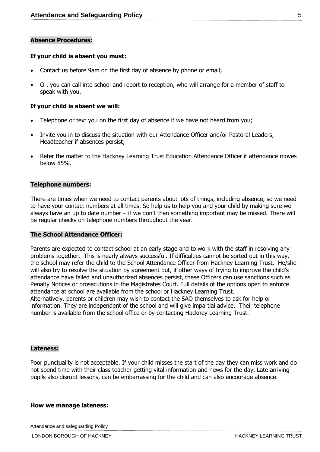#### **Absence Procedures:**

#### **If your child is absent you must:**

- Contact us before 9am on the first day of absence by phone or email;
- Or, you can call into school and report to reception, who will arrange for a member of staff to speak with you.

#### **If your child is absent we will:**

- Telephone or text you on the first day of absence if we have not heard from you;
- Invite you in to discuss the situation with our Attendance Officer and/or Pastoral Leaders, Headteacher if absences persist;
- Refer the matter to the Hackney Learning Trust Education Attendance Officer if attendance moves below 85%.

#### **Telephone numbers:**

There are times when we need to contact parents about lots of things, including absence, so we need to have your contact numbers at all times. So help us to help you and your child by making sure we always have an up to date number – if we don't then something important may be missed. There will be regular checks on telephone numbers throughout the year.

#### **The School Attendance Officer:**

Parents are expected to contact school at an early stage and to work with the staff in resolving any problems together. This is nearly always successful. If difficulties cannot be sorted out in this way, the school may refer the child to the School Attendance Officer from Hackney Learning Trust. He/she will also try to resolve the situation by agreement but, if other ways of trying to improve the child's attendance have failed and unauthorized absences persist, these Officers can use sanctions such as Penalty Notices or prosecutions in the Magistrates Court. Full details of the options open to enforce attendance at school are available from the school or Hackney Learning Trust. Alternatively, parents or children may wish to contact the SAO themselves to ask for help or

information. They are independent of the school and will give impartial advice. Their telephone number is available from the school office or by contacting Hackney Learning Trust.

#### **Lateness:**

Poor punctuality is not acceptable. If your child misses the start of the day they can miss work and do not spend time with their class teacher getting vital information and news for the day. Late arriving pupils also disrupt lessons, can be embarrassing for the child and can also encourage absence.

#### **How we manage lateness:**

Attendance and safeguarding Policy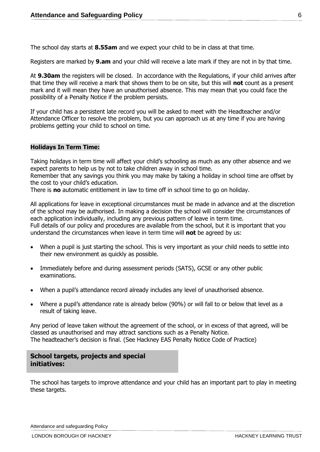The school day starts at **8.55am** and we expect your child to be in class at that time.

Registers are marked by **9.am** and your child will receive a late mark if they are not in by that time.

At **9.30am** the registers will be closed. In accordance with the Regulations, if your child arrives after that time they will receive a mark that shows them to be on site, but this will **not** count as a present mark and it will mean they have an unauthorised absence. This may mean that you could face the possibility of a Penalty Notice if the problem persists.

If your child has a persistent late record you will be asked to meet with the Headteacher and/or Attendance Officer to resolve the problem, but you can approach us at any time if you are having problems getting your child to school on time.

#### **Holidays In Term Time:**

Taking holidays in term time will affect your child's schooling as much as any other absence and we expect parents to help us by not to take children away in school time.

Remember that any savings you think you may make by taking a holiday in school time are offset by the cost to your child's education.

There is **no** automatic entitlement in law to time off in school time to go on holiday.

All applications for leave in exceptional circumstances must be made in advance and at the discretion of the school may be authorised. In making a decision the school will consider the circumstances of each application individually, including any previous pattern of leave in term time. Full details of our policy and procedures are available from the school, but it is important that you understand the circumstances when leave in term time will **not** be agreed by us:

- When a pupil is just starting the school. This is very important as your child needs to settle into their new environment as quickly as possible.
- Immediately before and during assessment periods (SATS), GCSE or any other public examinations.
- When a pupil's attendance record already includes any level of unauthorised absence.
- Where a pupil's attendance rate is already below (90%) or will fall to or below that level as a result of taking leave.

Any period of leave taken without the agreement of the school, or in excess of that agreed, will be classed as unauthorised and may attract sanctions such as a Penalty Notice. The headteacher's decision is final. (See Hackney EAS Penalty Notice Code of Practice)

#### **School targets, projects and special initiatives:**

The school has targets to improve attendance and your child has an important part to play in meeting these targets.

Attendance and safeguarding Policy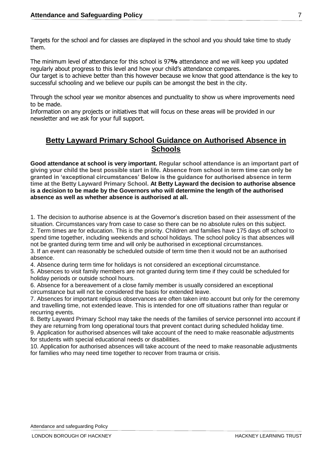Targets for the school and for classes are displayed in the school and you should take time to study them.

The minimum level of attendance for this school is 97**%** attendance and we will keep you updated regularly about progress to this level and how your child's attendance compares.

Our target is to achieve better than this however because we know that good attendance is the key to successful schooling and we believe our pupils can be amongst the best in the city.

Through the school year we monitor absences and punctuality to show us where improvements need to be made.

Information on any projects or initiatives that will focus on these areas will be provided in our newsletter and we ask for your full support.

### **Betty Layward Primary School Guidance on Authorised Absence in Schools**

**Good attendance at school is very important. Regular school attendance is an important part of giving your child the best possible start in life. Absence from school in term time can only be granted in 'exceptional circumstances' Below is the guidance for authorised absence in term time at the Betty Layward Primary School. At Betty Layward the decision to authorise absence is a decision to be made by the Governors who will determine the length of the authorised absence as well as whether absence is authorised at all.**

1. The decision to authorise absence is at the Governor's discretion based on their assessment of the situation. Circumstances vary from case to case so there can be no absolute rules on this subject.

2. Term times are for education. This is the priority. Children and families have 175 days off school to spend time together, including weekends and school holidays. The school policy is that absences will not be granted during term time and will only be authorised in exceptional circumstances.

3. If an event can reasonably be scheduled outside of term time then it would not be an authorised absence.

4. Absence during term time for holidays is not considered an exceptional circumstance.

5. Absences to visit family members are not granted during term time if they could be scheduled for holiday periods or outside school hours.

6. Absence for a bereavement of a close family member is usually considered an exceptional circumstance but will not be considered the basis for extended leave.

7. Absences for important religious observances are often taken into account but only for the ceremony and travelling time, not extended leave. This is intended for one off situations rather than regular or recurring events.

8. Betty Layward Primary School may take the needs of the families of service personnel into account if they are returning from long operational tours that prevent contact during scheduled holiday time.

9. Application for authorised absences will take account of the need to make reasonable adjustments for students with special educational needs or disabilities.

10. Application for authorised absences will take account of the need to make reasonable adjustments for families who may need time together to recover from trauma or crisis.